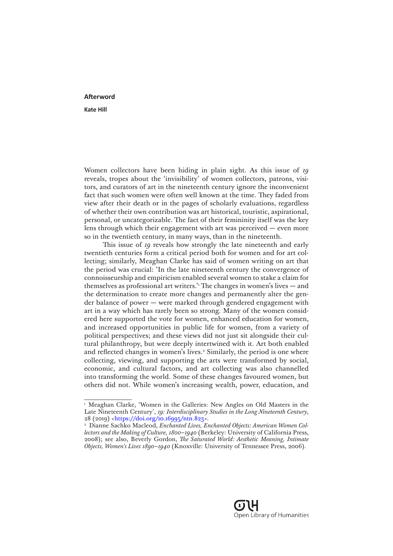## **Afterword**

**Kate Hill**

Women collectors have been hiding in plain sight. As this issue of *19* reveals, tropes about the 'invisibility' of women collectors, patrons, visitors, and curators of art in the nineteenth century ignore the inconvenient fact that such women were often well known at the time. They faded from view after their death or in the pages of scholarly evaluations, regardless of whether their own contribution was art historical, touristic, aspirational, personal, or uncategorizable. The fact of their femininity itself was the key lens through which their engagement with art was perceived — even more so in the twentieth century, in many ways, than in the nineteenth.

This issue of *19* reveals how strongly the late nineteenth and early twentieth centuries form a critical period both for women and for art collecting; similarly, Meaghan Clarke has said of women writing on art that the period was crucial: 'In the late nineteenth century the convergence of connoisseurship and empiricism enabled several women to stake a claim for themselves as professional art writers.'1 The changes in women's lives — and the determination to create more changes and permanently alter the gender balance of power — were marked through gendered engagement with art in a way which has rarely been so strong. Many of the women considered here supported the vote for women, enhanced education for women, and increased opportunities in public life for women, from a variety of political perspectives; and these views did not just sit alongside their cultural philanthropy, but were deeply intertwined with it. Art both enabled and reflected changes in women's lives.<sup>2</sup> Similarly, the period is one where collecting, viewing, and supporting the arts were transformed by social, economic, and cultural factors, and art collecting was also channelled into transforming the world. Some of these changes favoured women, but others did not. While women's increasing wealth, power, education, and

<sup>&</sup>lt;sup>1</sup> Meaghan Clarke, 'Women in the Galleries: New Angles on Old Masters in the Late Nineteenth Century', *19: Interdisciplinary Studies in the Long Nineteenth Century*, 28 (2019) [<https://doi.org/10.16995/ntn.823>](https://doi.org/10.16995/ntn.823).

<sup>2</sup> Dianne Sachko Macleod, *Enchanted Lives, Enchanted Objects: American Women Collectors and the Making of Culture, 1800–1940* (Berkeley: University of California Press, 2008); see also, Beverly Gordon, *The Saturated World: Aesthetic Meaning, Intimate Objects, Women's Lives 1890–1940* (Knoxville: University of Tennessee Press, 2006).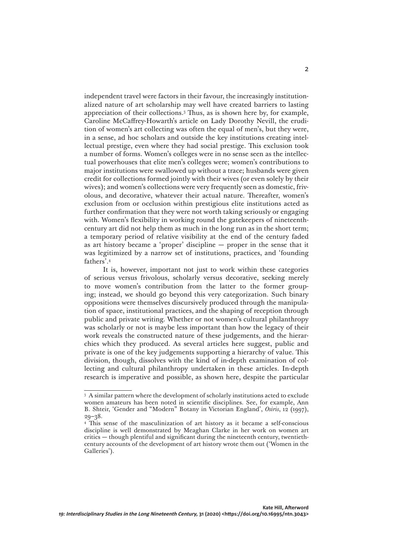independent travel were factors in their favour, the increasingly institutionalized nature of art scholarship may well have created barriers to lasting appreciation of their collections.3 Thus, as is shown here by, for example, Caroline McCaffrey-Howarth's article on Lady Dorothy Nevill, the erudition of women's art collecting was often the equal of men's, but they were, in a sense, ad hoc scholars and outside the key institutions creating intellectual prestige, even where they had social prestige. This exclusion took a number of forms. Women's colleges were in no sense seen as the intellectual powerhouses that elite men's colleges were; women's contributions to major institutions were swallowed up without a trace; husbands were given credit for collections formed jointly with their wives (or even solely by their wives); and women's collections were very frequently seen as domestic, frivolous, and decorative, whatever their actual nature. Thereafter, women's exclusion from or occlusion within prestigious elite institutions acted as further confirmation that they were not worth taking seriously or engaging with. Women's flexibility in working round the gatekeepers of nineteenthcentury art did not help them as much in the long run as in the short term; a temporary period of relative visibility at the end of the century faded as art history became a 'proper' discipline — proper in the sense that it was legitimized by a narrow set of institutions, practices, and 'founding fathers'.4

It is, however, important not just to work within these categories of serious versus frivolous, scholarly versus decorative, seeking merely to move women's contribution from the latter to the former grouping; instead, we should go beyond this very categorization. Such binary oppositions were themselves discursively produced through the manipulation of space, institutional practices, and the shaping of reception through public and private writing. Whether or not women's cultural philanthropy was scholarly or not is maybe less important than how the legacy of their work reveals the constructed nature of these judgements, and the hierarchies which they produced. As several articles here suggest, public and private is one of the key judgements supporting a hierarchy of value. This division, though, dissolves with the kind of in-depth examination of collecting and cultural philanthropy undertaken in these articles. In-depth research is imperative and possible, as shown here, despite the particular

<sup>3</sup> A similar pattern where the development of scholarly institutions acted to exclude women amateurs has been noted in scientific disciplines. See, for example, Ann B. Shteir, 'Gender and "Modern" Botany in Victorian England', *Osiris*, 12 (1997),  $20 - 28$ .

<sup>4</sup> This sense of the masculinization of art history as it became a self-conscious discipline is well demonstrated by Meaghan Clarke in her work on women art critics — though plentiful and significant during the nineteenth century, twentiethcentury accounts of the development of art history wrote them out ('Women in the Galleries').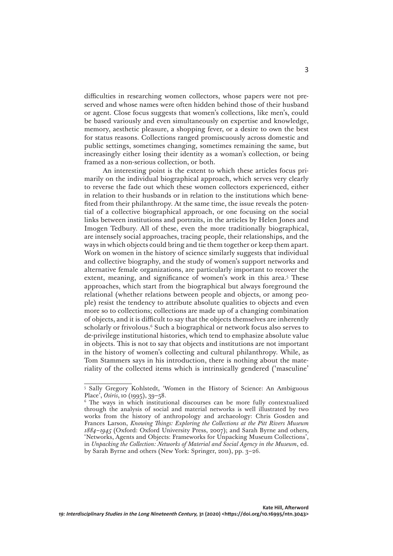difficulties in researching women collectors, whose papers were not preserved and whose names were often hidden behind those of their husband or agent. Close focus suggests that women's collections, like men's, could be based variously and even simultaneously on expertise and knowledge, memory, aesthetic pleasure, a shopping fever, or a desire to own the best for status reasons. Collections ranged promiscuously across domestic and public settings, sometimes changing, sometimes remaining the same, but increasingly either losing their identity as a woman's collection, or being framed as a non-serious collection, or both.

An interesting point is the extent to which these articles focus primarily on the individual biographical approach, which serves very clearly to reverse the fade out which these women collectors experienced, either in relation to their husbands or in relation to the institutions which benefited from their philanthropy. At the same time, the issue reveals the potential of a collective biographical approach, or one focusing on the social links between institutions and portraits, in the articles by Helen Jones and Imogen Tedbury. All of these, even the more traditionally biographical, are intensely social approaches, tracing people, their relationships, and the ways in which objects could bring and tie them together or keep them apart. Work on women in the history of science similarly suggests that individual and collective biography, and the study of women's support networks and alternative female organizations, are particularly important to recover the extent, meaning, and significance of women's work in this area.<sup>5</sup> These approaches, which start from the biographical but always foreground the relational (whether relations between people and objects, or among people) resist the tendency to attribute absolute qualities to objects and even more so to collections; collections are made up of a changing combination of objects, and it is difficult to say that the objects themselves are inherently scholarly or frivolous.<sup>6</sup> Such a biographical or network focus also serves to de-privilege institutional histories, which tend to emphasize absolute value in objects. This is not to say that objects and institutions are not important in the history of women's collecting and cultural philanthropy. While, as Tom Stammers says in his introduction, there is nothing about the materiality of the collected items which is intrinsically gendered ('masculine'

<sup>5</sup> Sally Gregory Kohlstedt, 'Women in the History of Science: An Ambiguous Place', *Osiris*, 10 (1995), 39–58.

<sup>6</sup> The ways in which institutional discourses can be more fully contextualized through the analysis of social and material networks is well illustrated by two works from the history of anthropology and archaeology: Chris Gosden and Frances Larson, *Knowing Things: Exploring the Collections at the Pitt Rivers Museum 1884–1945* (Oxford: Oxford University Press, 2007); and Sarah Byrne and others, 'Networks, Agents and Objects: Frameworks for Unpacking Museum Collections', in *Unpacking the Collection: Networks of Material and Social Agency in the Museum*, ed. by Sarah Byrne and others (New York: Springer, 2011), pp. 3–26.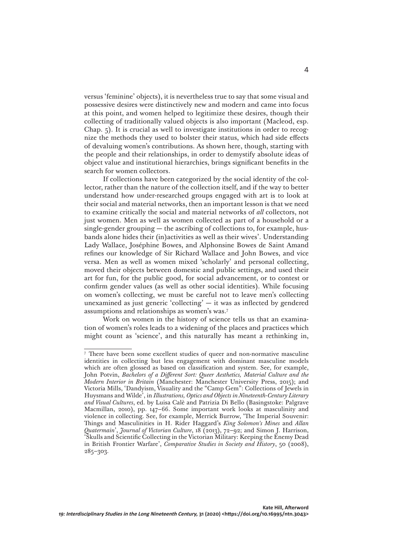versus 'feminine' objects), it is nevertheless true to say that some visual and possessive desires were distinctively new and modern and came into focus at this point, and women helped to legitimize these desires, though their collecting of traditionally valued objects is also important (Macleod, esp. Chap. 5). It is crucial as well to investigate institutions in order to recognize the methods they used to bolster their status, which had side effects of devaluing women's contributions. As shown here, though, starting with the people and their relationships, in order to demystify absolute ideas of object value and institutional hierarchies, brings significant benefits in the search for women collectors.

If collections have been categorized by the social identity of the collector, rather than the nature of the collection itself, and if the way to better understand how under-researched groups engaged with art is to look at their social and material networks, then an important lesson is that we need to examine critically the social and material networks of *all* collectors, not just women. Men as well as women collected as part of a household or a single-gender grouping  $-$  the ascribing of collections to, for example, husbands alone hides their (in)activities as well as their wives'. Understanding Lady Wallace, Joséphine Bowes, and Alphonsine Bowes de Saint Amand refines our knowledge of Sir Richard Wallace and John Bowes, and vice versa. Men as well as women mixed 'scholarly' and personal collecting, moved their objects between domestic and public settings, and used their art for fun, for the public good, for social advancement, or to contest or confirm gender values (as well as other social identities). While focusing on women's collecting, we must be careful not to leave men's collecting unexamined as just generic 'collecting'  $-$  it was as inflected by gendered assumptions and relationships as women's was.7

Work on women in the history of science tells us that an examination of women's roles leads to a widening of the places and practices which might count as 'science', and this naturally has meant a rethinking in,

<sup>7</sup> There have been some excellent studies of queer and non-normative masculine identities in collecting but less engagement with dominant masculine models which are often glossed as based on classification and system. See, for example, John Potvin, *Bachelors of a Different Sort: Queer Aesthetics, Material Culture and the Modern Interior in Britain* (Manchester: Manchester University Press, 2015); and Victoria Mills, 'Dandyism, Visuality and the "Camp Gem": Collections of Jewels in Huysmans and Wilde', in *Illustrations, Optics and Objects in Nineteenth-Century Literary and Visual Cultures*, ed. by Luisa Calè and Patrizia Di Bello (Basingstoke: Palgrave Macmillan, 2010), pp. 147–66. Some important work looks at masculinity and violence in collecting. See, for example, Merrick Burrow, 'The Imperial Souvenir: Things and Masculinities in H. Rider Haggard's *King Solomon's Mines* and *Allan Quatermain*', *Journal of Victorian Culture*, 18 (2013), 72–92; and Simon J. Harrison, 'Skulls and Scientific Collecting in the Victorian Military: Keeping the Enemy Dead in British Frontier Warfare', *Comparative Studies in Society and History*, 50 (2008), 285–303.